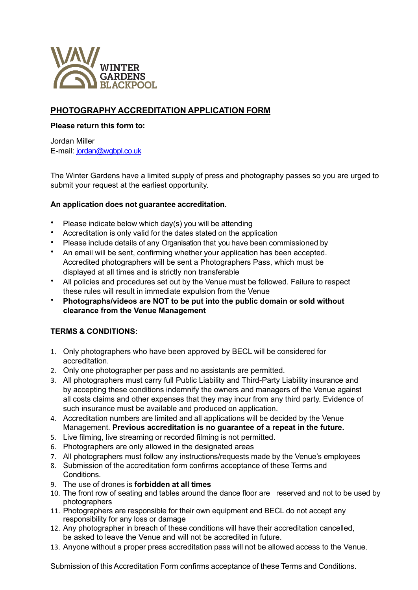

## **PHOTOGRAPHY ACCREDITATION APPLICATION FORM**

## **Please return this form to:**

Jordan Miller E-mail: [jordan@wgbpl.co.uk](mailto:jordan@wgbpl.co.uk)

The Winter Gardens have a limited supply of press and photography passes so you are urged to submit your request at the earliest opportunity.

## **An application does not guarantee accreditation.**

- Please indicate below which day(s) you will be attending
- Accreditation is only valid for the dates stated on the application
- Please include details of any Organisation that you have been commissioned by
- An email will be sent, confirming whether your application has been accepted. Accredited photographers will be sent a Photographers Pass, which must be displayed at all times and is strictly non transferable
- All policies and procedures set out by the Venue must be followed. Failure to respect these rules will result in immediate expulsion from the Venue
- **Photographs/videos are NOT to be put into the public domain or sold without clearance from the Venue Management**

## **TERMS & CONDITIONS:**

- 1. Only photographers who have been approved by BECL will be considered for accreditation.
- 2. Only one photographer per pass and no assistants are permitted.
- 3. All photographers must carry full Public Liability and Third-Party Liability insurance and by accepting these conditions indemnify the owners and managers of the Venue against all costs claims and other expenses that they may incur from any third party. Evidence of such insurance must be available and produced on application.
- 4. Accreditation numbers are limited and all applications will be decided by the Venue Management. **Previous accreditation is no guarantee of a repeat in the future.**
- 5. Live filming, live streaming or recorded filming is not permitted.
- 6. Photographers are only allowed in the designated areas
- 7. All photographers must follow any instructions/requests made by the Venue's employees
- 8. Submission of the accreditation form confirms acceptance of these Terms and Conditions.
- 9. The use of drones is **forbidden at all times**
- 10. The front row of seating and tables around the dance floor are reserved and not to be used by photographers
- 11. Photographers are responsible for their own equipment and BECL do not accept any responsibility for any loss or damage
- 12. Any photographer in breach of these conditions will have their accreditation cancelled, be asked to leave the Venue and will not be accredited in future.
- 13. Anyone without a proper press accreditation pass will not be allowed access to the Venue.

Submission of this Accreditation Form confirms acceptance of these Terms and Conditions.